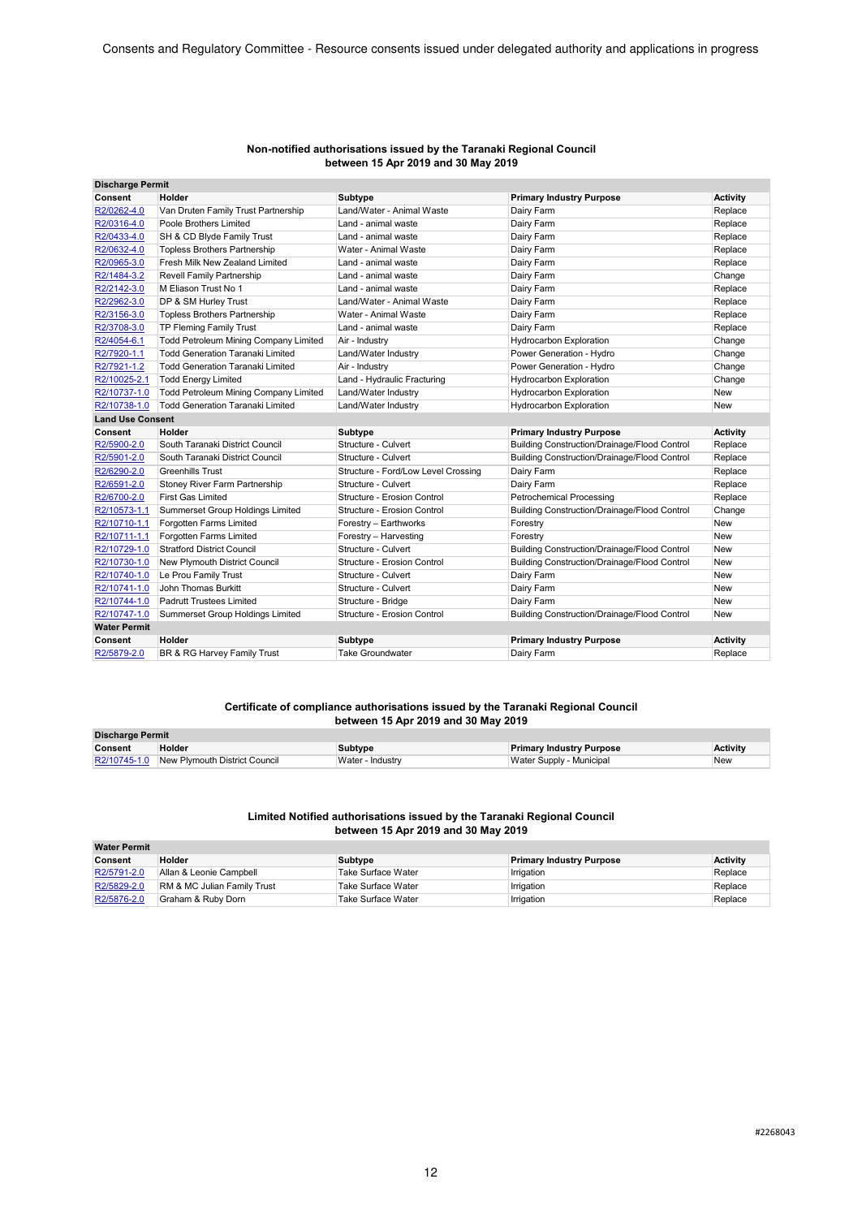| Non-notified authorisations issued by the Taranaki Regional Council |
|---------------------------------------------------------------------|
| between 15 Apr 2019 and 30 May 2019                                 |

| <b>Discharge Permit</b> |                                         |                                     |                                                     |                 |
|-------------------------|-----------------------------------------|-------------------------------------|-----------------------------------------------------|-----------------|
| Consent                 | Holder                                  | <b>Subtype</b>                      | <b>Primary Industry Purpose</b>                     | <b>Activity</b> |
| R2/0262-4.0             | Van Druten Family Trust Partnership     | Land/Water - Animal Waste           | Dairy Farm                                          | Replace         |
| R2/0316-4.0             | Poole Brothers Limited                  | Land - animal waste                 | Dairy Farm                                          | Replace         |
| R2/0433-4.0             | SH & CD Blyde Family Trust              | Land - animal waste                 | Dairy Farm                                          | Replace         |
| R2/0632-4.0             | <b>Topless Brothers Partnership</b>     | Water - Animal Waste                | Dairy Farm                                          | Replace         |
| R2/0965-3.0             | Fresh Milk New Zealand Limited          | Land - animal waste                 | Dairy Farm                                          | Replace         |
| R2/1484-3.2             | Revell Family Partnership               | Land - animal waste                 | Dairy Farm                                          | Change          |
| R2/2142-3.0             | M Eliason Trust No 1                    | Land - animal waste                 | Dairy Farm                                          | Replace         |
| R2/2962-3.0             | DP & SM Hurley Trust                    | Land/Water - Animal Waste           | Dairy Farm                                          | Replace         |
| R2/3156-3.0             | <b>Topless Brothers Partnership</b>     | Water - Animal Waste                | Dairy Farm                                          | Replace         |
| R2/3708-3.0             | <b>TP Fleming Family Trust</b>          | Land - animal waste                 | Dairy Farm                                          | Replace         |
| R2/4054-6.1             | Todd Petroleum Mining Company Limited   | Air - Industry                      | Hydrocarbon Exploration                             | Change          |
| R2/7920-1.1             | <b>Todd Generation Taranaki Limited</b> | Land/Water Industry                 | Power Generation - Hydro                            | Change          |
| R2/7921-1.2             | <b>Todd Generation Taranaki Limited</b> | Air - Industry                      | Power Generation - Hydro                            | Change          |
| R2/10025-2.1            | <b>Todd Energy Limited</b>              | Land - Hydraulic Fracturing         | Hydrocarbon Exploration                             | Change          |
| R2/10737-1.0            | Todd Petroleum Mining Company Limited   | Land/Water Industry                 | <b>Hydrocarbon Exploration</b>                      | New             |
| R2/10738-1.0            | <b>Todd Generation Taranaki Limited</b> | Land/Water Industry                 | <b>Hydrocarbon Exploration</b>                      | New             |
| <b>Land Use Consent</b> |                                         |                                     |                                                     |                 |
| Consent                 | Holder                                  | <b>Subtype</b>                      | <b>Primary Industry Purpose</b>                     | <b>Activity</b> |
| R2/5900-2.0             | South Taranaki District Council         | Structure - Culvert                 | <b>Building Construction/Drainage/Flood Control</b> | Replace         |
| R2/5901-2.0             | South Taranaki District Council         | Structure - Culvert                 | <b>Building Construction/Drainage/Flood Control</b> | Replace         |
| R2/6290-2.0             | <b>Greenhills Trust</b>                 | Structure - Ford/Low Level Crossing | Dairy Farm                                          | Replace         |
| R2/6591-2.0             | Stoney River Farm Partnership           | Structure - Culvert                 | Dairy Farm                                          | Replace         |
| R2/6700-2.0             | <b>First Gas Limited</b>                | Structure - Erosion Control         | <b>Petrochemical Processing</b>                     | Replace         |
| R2/10573-1.1            | Summerset Group Holdings Limited        | Structure - Erosion Control         | Building Construction/Drainage/Flood Control        | Change          |
| R2/10710-1.1            | Forgotten Farms Limited                 | Forestry - Earthworks               | Forestry                                            | <b>New</b>      |
| R2/10711-1.1            | Forgotten Farms Limited                 | Forestry - Harvesting               | Forestry                                            | <b>New</b>      |
| R2/10729-1.0            | <b>Stratford District Council</b>       | Structure - Culvert                 | <b>Building Construction/Drainage/Flood Control</b> | <b>New</b>      |
| R2/10730-1.0            | New Plymouth District Council           | Structure - Erosion Control         | <b>Building Construction/Drainage/Flood Control</b> | <b>New</b>      |
| R2/10740-1.0            | Le Prou Family Trust                    | Structure - Culvert                 | Dairy Farm                                          | New             |
| R2/10741-1.0            | John Thomas Burkitt                     | Structure - Culvert                 | Dairy Farm                                          | New             |
| R2/10744-1.0            | Padrutt Trustees Limited                | Structure - Bridge                  | Dairy Farm                                          | New             |
| R2/10747-1.0            | Summerset Group Holdings Limited        | Structure - Erosion Control         | Building Construction/Drainage/Flood Control        | New             |
| <b>Water Permit</b>     |                                         |                                     |                                                     |                 |
| Consent                 | Holder                                  | <b>Subtype</b>                      | <b>Primary Industry Purpose</b>                     | <b>Activity</b> |
| R2/5879-2.0             | BR & RG Harvey Family Trust             | <b>Take Groundwater</b>             | Dairy Farm                                          | Replace         |

#### **Certificate of compliance authorisations issued by the Taranaki Regional Council between 15 Apr 2019 and 30 May 2019**

| <b>Discharge Permit</b> |                                            |                  |                                 |                 |
|-------------------------|--------------------------------------------|------------------|---------------------------------|-----------------|
| Consent                 | Holder                                     | Subtype          | <b>Primary Industry Purpose</b> | <b>Activity</b> |
|                         | R2/10745-1.0 New Plymouth District Council | Water - Industry | Water Supply - Municipal        | New             |

#### **Limited Notified authorisations issued by the Taranaki Regional Council between 15 Apr 2019 and 30 May 2019**

| <b>Water Permit</b> |                             |                           |                                 |                 |
|---------------------|-----------------------------|---------------------------|---------------------------------|-----------------|
| Consent             | Holder                      | Subtype                   | <b>Primary Industry Purpose</b> | <b>Activity</b> |
| R2/5791-2.0         | Allan & Leonie Campbell     | Take Surface Water        | Irrigation                      | Replace         |
| R2/5829-2.0         | RM & MC Julian Family Trust | <b>Take Surface Water</b> | Irrigation                      | Replace         |
| R2/5876-2.0         | Graham & Ruby Dorn          | Take Surface Water        | Irrigation                      | Replace         |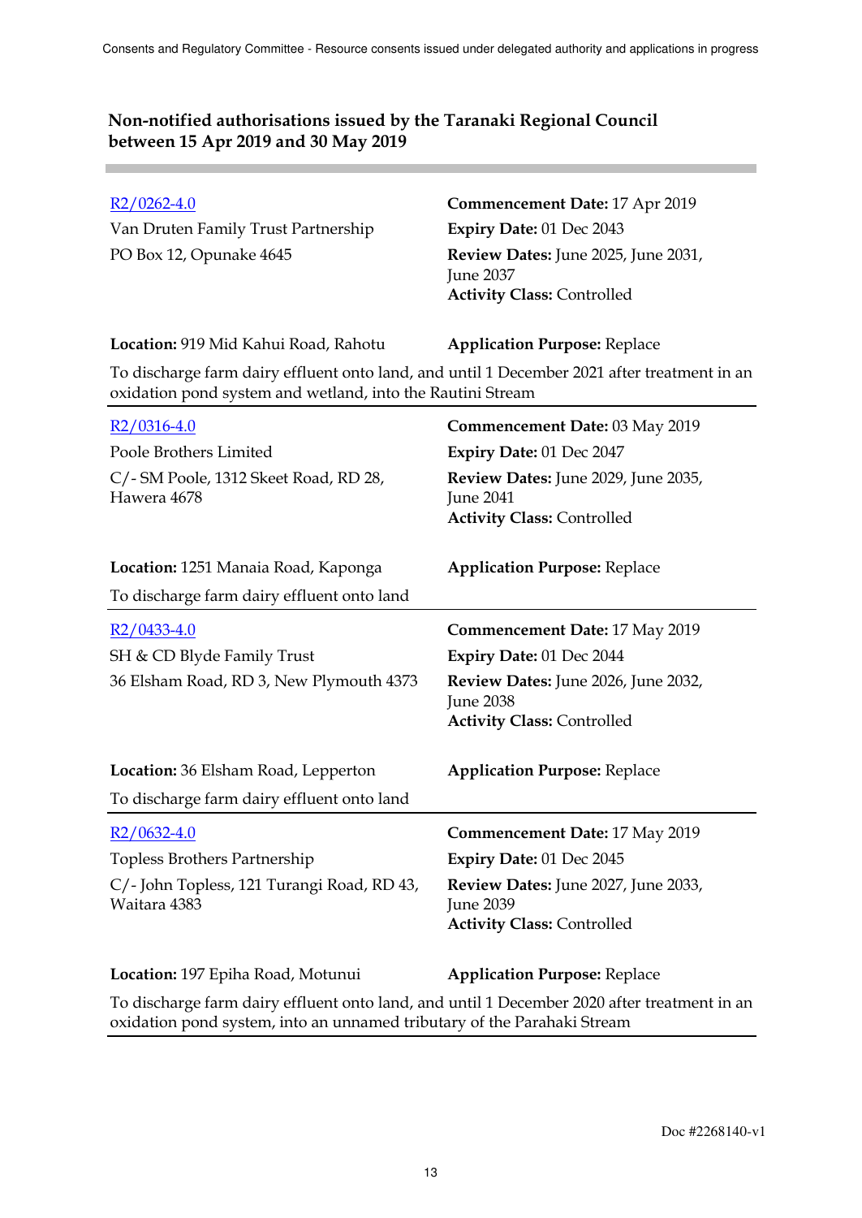**College** 

| $R2/0262-4.0$<br>Van Druten Family Trust Partnership<br>PO Box 12, Opunake 4645                                                                           | <b>Commencement Date: 17 Apr 2019</b><br>Expiry Date: 01 Dec 2043<br>Review Dates: June 2025, June 2031,<br><b>June 2037</b><br><b>Activity Class: Controlled</b>        |
|-----------------------------------------------------------------------------------------------------------------------------------------------------------|--------------------------------------------------------------------------------------------------------------------------------------------------------------------------|
| Location: 919 Mid Kahui Road, Rahotu                                                                                                                      | <b>Application Purpose: Replace</b>                                                                                                                                      |
| To discharge farm dairy effluent onto land, and until 1 December 2021 after treatment in an<br>oxidation pond system and wetland, into the Rautini Stream |                                                                                                                                                                          |
| $R2/0316-4.0$                                                                                                                                             | <b>Commencement Date: 03 May 2019</b>                                                                                                                                    |
| Poole Brothers Limited                                                                                                                                    | Expiry Date: 01 Dec 2047                                                                                                                                                 |
| C/- SM Poole, 1312 Skeet Road, RD 28,<br>Hawera 4678                                                                                                      | Review Dates: June 2029, June 2035,<br><b>June 2041</b><br><b>Activity Class: Controlled</b>                                                                             |
| Location: 1251 Manaia Road, Kaponga                                                                                                                       | <b>Application Purpose: Replace</b>                                                                                                                                      |
| To discharge farm dairy effluent onto land                                                                                                                |                                                                                                                                                                          |
| $R2/0433-4.0$<br>SH & CD Blyde Family Trust<br>36 Elsham Road, RD 3, New Plymouth 4373                                                                    | <b>Commencement Date: 17 May 2019</b><br><b>Expiry Date: 01 Dec 2044</b><br>Review Dates: June 2026, June 2032,<br><b>June 2038</b><br><b>Activity Class: Controlled</b> |
| Location: 36 Elsham Road, Lepperton                                                                                                                       | <b>Application Purpose: Replace</b>                                                                                                                                      |
| To discharge farm dairy effluent onto land                                                                                                                |                                                                                                                                                                          |
| R2/0632-4.0                                                                                                                                               | <b>Commencement Date: 17 May 2019</b>                                                                                                                                    |
| Topless Brothers Partnership                                                                                                                              | Expiry Date: 01 Dec 2045                                                                                                                                                 |
| C/ - John Topless, 121 Turangi Road, RD 43,<br>Waitara 4383                                                                                               | Review Dates: June 2027, June 2033,<br>June 2039<br><b>Activity Class: Controlled</b>                                                                                    |
| Location: 197 Epiha Road, Motunui                                                                                                                         | <b>Application Purpose: Replace</b>                                                                                                                                      |
| To discharge farm dairy effluent onto land, and until 1 December 2020 after treatment in an                                                               |                                                                                                                                                                          |

oxidation pond system, into an unnamed tributary of the Parahaki Stream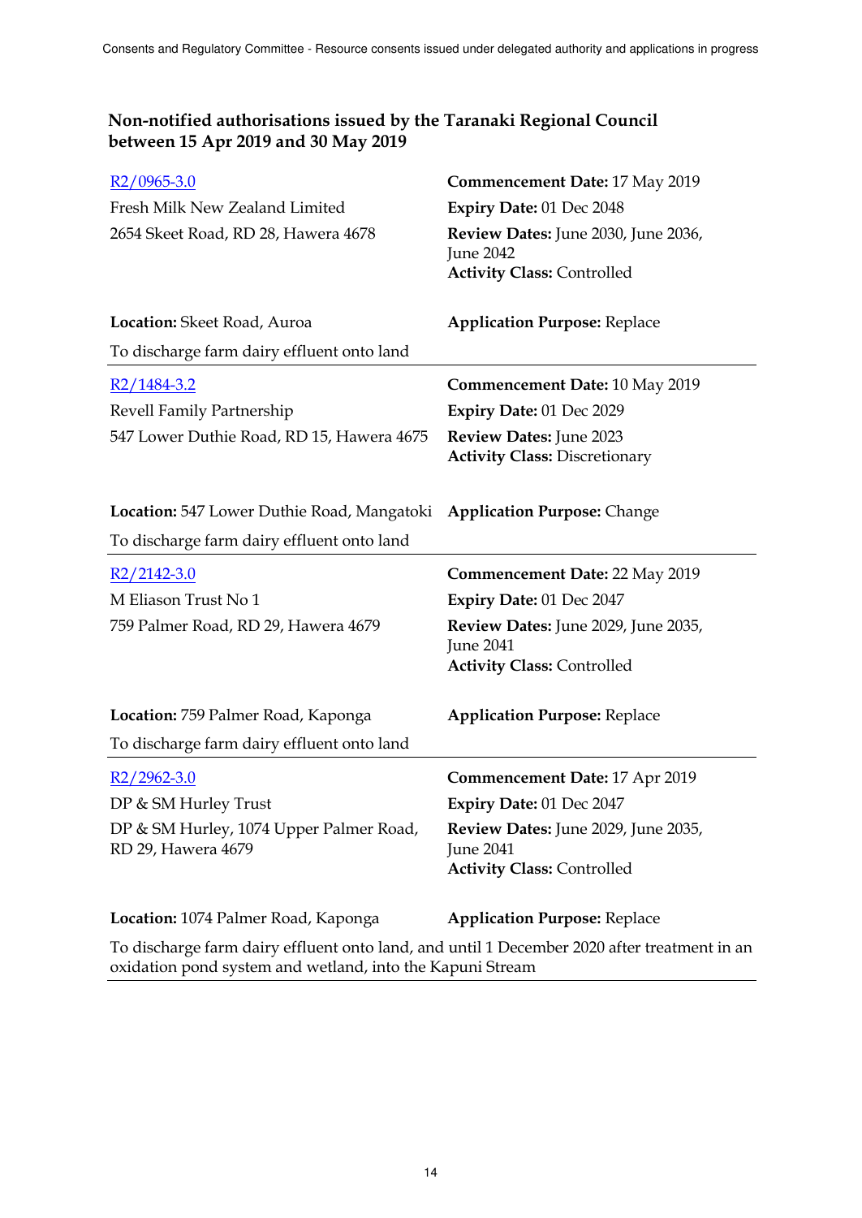| $R2/0965-3.0$                                                                                                                                            | <b>Commencement Date: 17 May 2019</b>                                                        |
|----------------------------------------------------------------------------------------------------------------------------------------------------------|----------------------------------------------------------------------------------------------|
| Fresh Milk New Zealand Limited                                                                                                                           | Expiry Date: 01 Dec 2048                                                                     |
| 2654 Skeet Road, RD 28, Hawera 4678                                                                                                                      | Review Dates: June 2030, June 2036,<br><b>June 2042</b><br><b>Activity Class: Controlled</b> |
| Location: Skeet Road, Auroa                                                                                                                              | <b>Application Purpose: Replace</b>                                                          |
| To discharge farm dairy effluent onto land                                                                                                               |                                                                                              |
| $R2/1484-3.2$                                                                                                                                            | <b>Commencement Date: 10 May 2019</b>                                                        |
| Revell Family Partnership                                                                                                                                | Expiry Date: 01 Dec 2029                                                                     |
| 547 Lower Duthie Road, RD 15, Hawera 4675                                                                                                                | Review Dates: June 2023<br><b>Activity Class: Discretionary</b>                              |
| <b>Location:</b> 547 Lower Duthie Road, Mangatoki                                                                                                        | <b>Application Purpose: Change</b>                                                           |
| To discharge farm dairy effluent onto land                                                                                                               |                                                                                              |
| $R2/2142-3.0$                                                                                                                                            | <b>Commencement Date: 22 May 2019</b>                                                        |
| M Eliason Trust No 1                                                                                                                                     | Expiry Date: 01 Dec 2047                                                                     |
| 759 Palmer Road, RD 29, Hawera 4679                                                                                                                      | Review Dates: June 2029, June 2035,<br><b>June 2041</b>                                      |
|                                                                                                                                                          | <b>Activity Class: Controlled</b>                                                            |
| Location: 759 Palmer Road, Kaponga<br>To discharge farm dairy effluent onto land                                                                         | <b>Application Purpose: Replace</b>                                                          |
|                                                                                                                                                          |                                                                                              |
| $R2/2962-3.0$                                                                                                                                            | <b>Commencement Date: 17 Apr 2019</b>                                                        |
| DP & SM Hurley Trust                                                                                                                                     | Expiry Date: 01 Dec 2047                                                                     |
| DP & SM Hurley, 1074 Upper Palmer Road,<br>RD 29, Hawera 4679                                                                                            | Review Dates: June 2029, June 2035,<br><b>June 2041</b><br><b>Activity Class: Controlled</b> |
| Location: 1074 Palmer Road, Kaponga                                                                                                                      | <b>Application Purpose: Replace</b>                                                          |
| To discharge farm dairy effluent onto land, and until 1 December 2020 after treatment in an<br>oxidation pond system and wetland, into the Kapuni Stream |                                                                                              |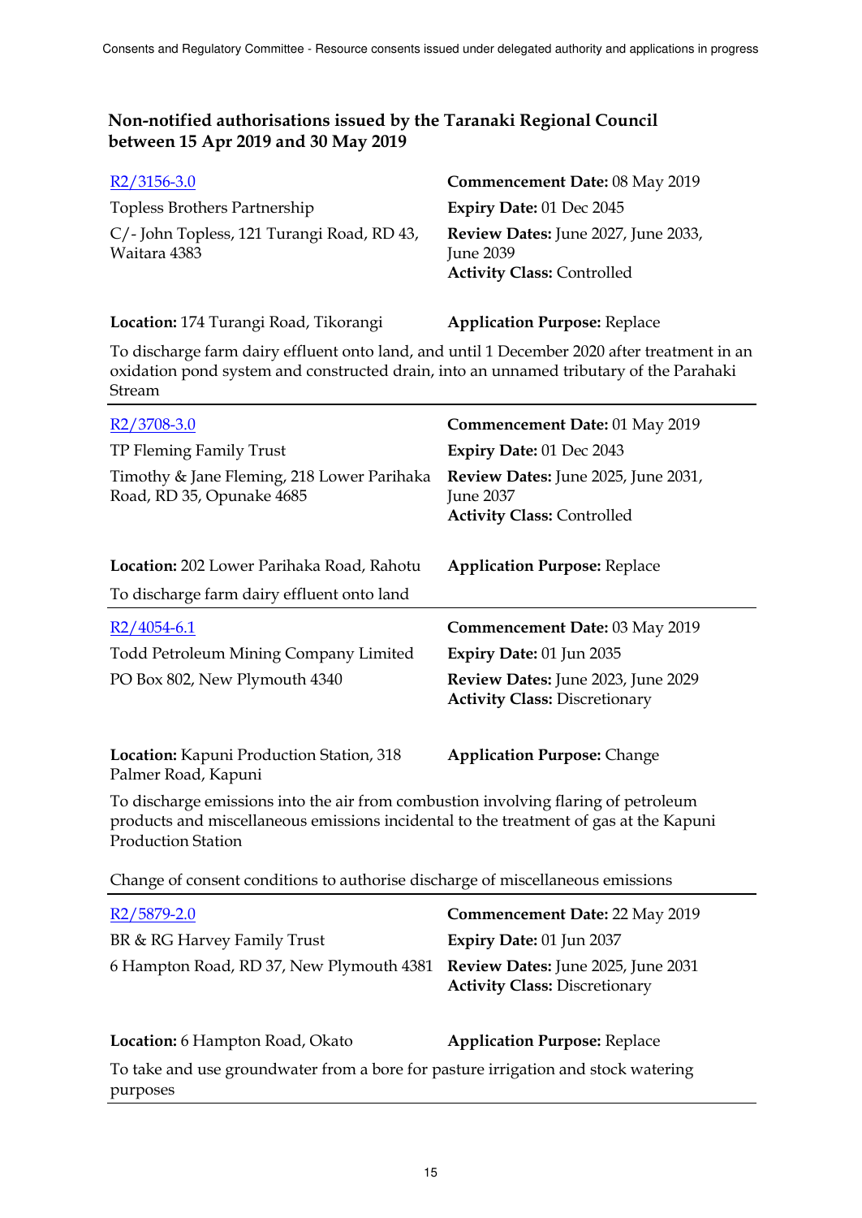| $R2/3156-3.0$                                              | <b>Commencement Date: 08 May 2019</b>                                                 |
|------------------------------------------------------------|---------------------------------------------------------------------------------------|
| Topless Brothers Partnership                               | Expiry Date: $01$ Dec $2045$                                                          |
| C/- John Topless, 121 Turangi Road, RD 43,<br>Waitara 4383 | Review Dates: June 2027, June 2033,<br>June 2039<br><b>Activity Class: Controlled</b> |

| Location: 174 Turangi Road, Tikorangi |  | <b>Application Purpose: Replace</b> |
|---------------------------------------|--|-------------------------------------|
|                                       |  |                                     |

To discharge farm dairy effluent onto land, and until 1 December 2020 after treatment in an oxidation pond system and constructed drain, into an unnamed tributary of the Parahaki Stream

| $R2/3708-3.0$<br>TP Fleming Family Trust<br>Timothy & Jane Fleming, 218 Lower Parihaka<br>Road, RD 35, Opunake 4685                                                                                  | Commencement Date: 01 May 2019<br>Expiry Date: 01 Dec 2043<br>Review Dates: June 2025, June 2031,<br>June 2037<br><b>Activity Class: Controlled</b> |  |
|------------------------------------------------------------------------------------------------------------------------------------------------------------------------------------------------------|-----------------------------------------------------------------------------------------------------------------------------------------------------|--|
| Location: 202 Lower Parihaka Road, Rahotu<br>To discharge farm dairy effluent onto land                                                                                                              | <b>Application Purpose: Replace</b>                                                                                                                 |  |
| $R2/4054-6.1$<br>Todd Petroleum Mining Company Limited<br>PO Box 802, New Plymouth 4340                                                                                                              | Commencement Date: 03 May 2019<br>Expiry Date: 01 Jun 2035<br>Review Dates: June 2023, June 2029<br><b>Activity Class: Discretionary</b>            |  |
| Location: Kapuni Production Station, 318<br>Palmer Road, Kapuni<br>To discharge emissions into the air from combustion involving flaring of petroleum                                                | <b>Application Purpose: Change</b>                                                                                                                  |  |
| products and miscellaneous emissions incidental to the treatment of gas at the Kapuni<br><b>Production Station</b><br>Change of consent conditions to authorise discharge of miscellaneous emissions |                                                                                                                                                     |  |
|                                                                                                                                                                                                      |                                                                                                                                                     |  |
| $R2/5879-2.0$<br>BR & RG Harvey Family Trust<br>6 Hampton Road, RD 37, New Plymouth 4381                                                                                                             | <b>Commencement Date: 22 May 2019</b><br>Expiry Date: 01 Jun 2037<br>Review Dates: June 2025, June 2031                                             |  |

| <b>Location:</b> 6 Hampton Road, Okato                                            | <b>Application Purpose: Replace</b> |
|-----------------------------------------------------------------------------------|-------------------------------------|
| To take and use groundwater from a bore for pasture irrigation and stock watering |                                     |
| purposes                                                                          |                                     |

**Activity Class:** Discretionary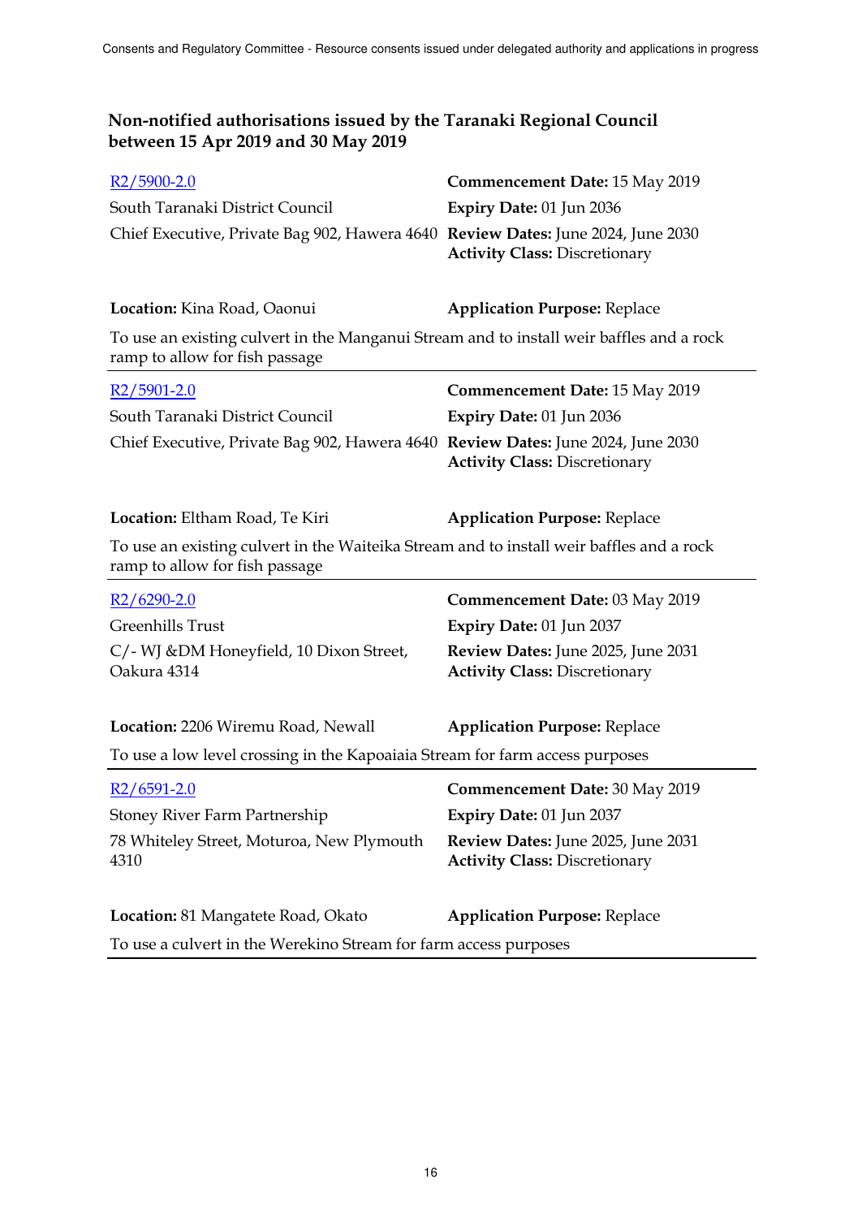| $R2/5900-2.0$                                                                    | <b>Commencement Date: 15 May 2019</b> |
|----------------------------------------------------------------------------------|---------------------------------------|
| South Taranaki District Council                                                  | Expiry Date: $01$ Jun 2036            |
| Chief Executive, Private Bag 902, Hawera 4640 Review Dates: June 2024, June 2030 |                                       |
|                                                                                  | <b>Activity Class: Discretionary</b>  |

**Location:** Kina Road, Oaonui **Application Purpose:** Replace To use an existing culvert in the Manganui Stream and to install weir baffles and a rock ramp to allow for fish passage

| $R2/5901-2.0$                                                                    | <b>Commencement Date: 15 May 2019</b> |
|----------------------------------------------------------------------------------|---------------------------------------|
| South Taranaki District Council                                                  | Expiry Date: $01$ Jun 2036            |
| Chief Executive, Private Bag 902, Hawera 4640 Review Dates: June 2024, June 2030 | <b>Activity Class: Discretionary</b>  |

**Location:** Eltham Road, Te Kiri **Application Purpose:** Replace

To use an existing culvert in the Waiteika Stream and to install weir baffles and a rock ramp to allow for fish passage

| $R2/6290-2.0$                                           | <b>Commencement Date: 03 May 2019</b>                                             |
|---------------------------------------------------------|-----------------------------------------------------------------------------------|
| Greenhills Trust                                        | <b>Expiry Date: 01 Jun 2037</b>                                                   |
| C/- WJ & DM Honeyfield, 10 Dixon Street,<br>Oakura 4314 | <b>Review Dates:</b> June 2025, June 2031<br><b>Activity Class: Discretionary</b> |
| Location: 2206 Wiremu Road, Newall                      | <b>Application Purpose: Replace</b>                                               |

To use a low level crossing in the Kapoaiaia Stream for farm access purposes

| $R2/6591-2.0$                                                    | Commencement Date: 30 May 2019                                             |
|------------------------------------------------------------------|----------------------------------------------------------------------------|
| Stoney River Farm Partnership                                    | Expiry Date: 01 Jun 2037                                                   |
| 78 Whiteley Street, Moturoa, New Plymouth<br>4310                | Review Dates: June 2025, June 2031<br><b>Activity Class: Discretionary</b> |
| <b>Location:</b> 81 Mangatete Road, Okato                        | <b>Application Purpose: Replace</b>                                        |
| To use a culvert in the Werekino Stream for farm access purposes |                                                                            |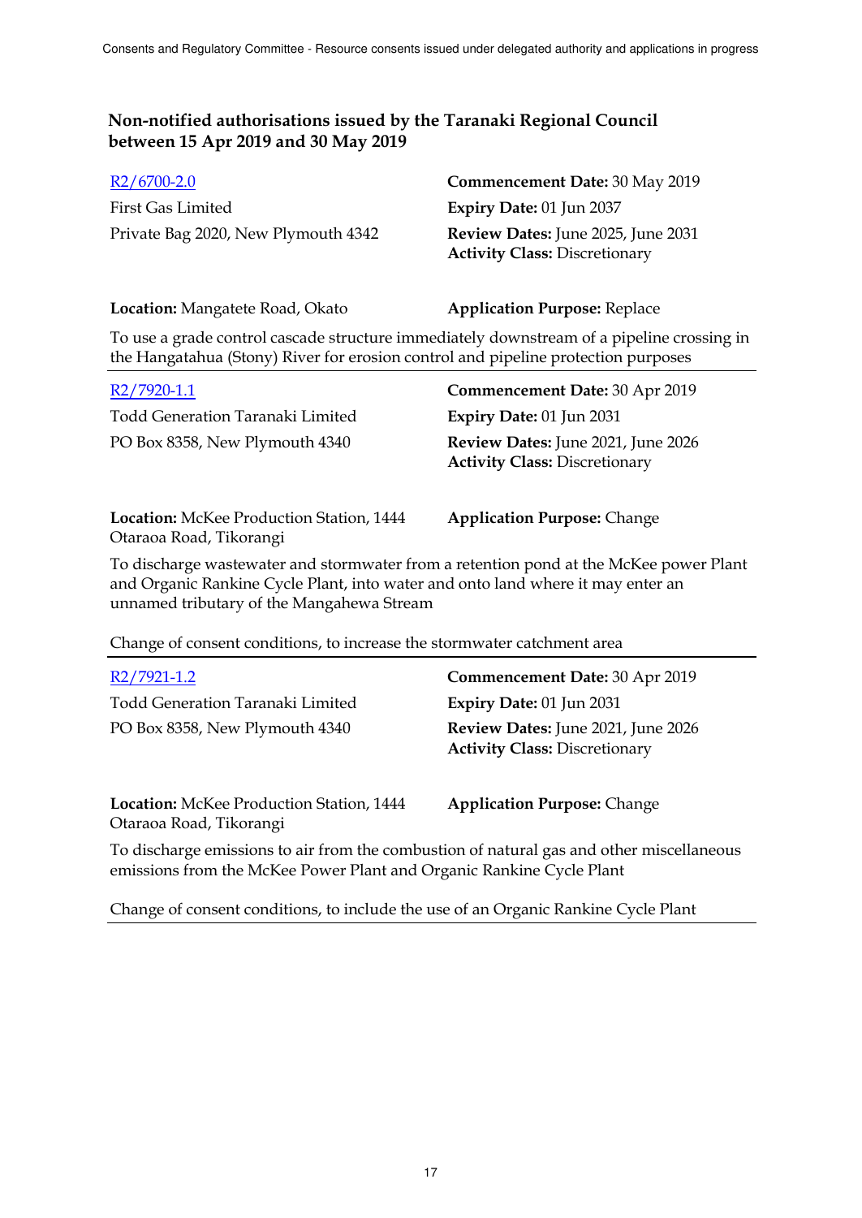| <b>Commencement Date: 30 May 2019</b>                                      |
|----------------------------------------------------------------------------|
| <b>Expiry Date: 01 Jun 2037</b>                                            |
| Review Dates: June 2025, June 2031<br><b>Activity Class: Discretionary</b> |
|                                                                            |

**Location:** Mangatete Road, Okato **Application Purpose:** Replace

To use a grade control cascade structure immediately downstream of a pipeline crossing in the Hangatahua (Stony) River for erosion control and pipeline protection purposes

| R2/7920-1.1                                                         | Commencement Date: 30 Apr 2019                                             |
|---------------------------------------------------------------------|----------------------------------------------------------------------------|
| Todd Generation Taranaki Limited                                    | Expiry Date: 01 Jun 2031                                                   |
| PO Box 8358, New Plymouth 4340                                      | Review Dates: June 2021, June 2026<br><b>Activity Class: Discretionary</b> |
| Location: McKee Production Station, 1444<br>Otaraoa Road, Tikorangi | <b>Application Purpose: Change</b>                                         |

To discharge wastewater and stormwater from a retention pond at the McKee power Plant and Organic Rankine Cycle Plant, into water and onto land where it may enter an unnamed tributary of the Mangahewa Stream

Change of consent conditions, to increase the stormwater catchment area

| R2/7921-1.2                                                                                                                                                      | Commencement Date: 30 Apr 2019                                             |
|------------------------------------------------------------------------------------------------------------------------------------------------------------------|----------------------------------------------------------------------------|
| Todd Generation Taranaki Limited                                                                                                                                 | <b>Expiry Date: 01 Jun 2031</b>                                            |
| PO Box 8358, New Plymouth 4340                                                                                                                                   | Review Dates: June 2021, June 2026<br><b>Activity Class: Discretionary</b> |
| <b>Location:</b> McKee Production Station, 1444<br>Otaraoa Road, Tikorangi                                                                                       | <b>Application Purpose: Change</b>                                         |
| To discharge emissions to air from the combustion of natural gas and other miscellaneous<br>emissions from the McKee Power Plant and Organic Rankine Cycle Plant |                                                                            |

Change of consent conditions, to include the use of an Organic Rankine Cycle Plant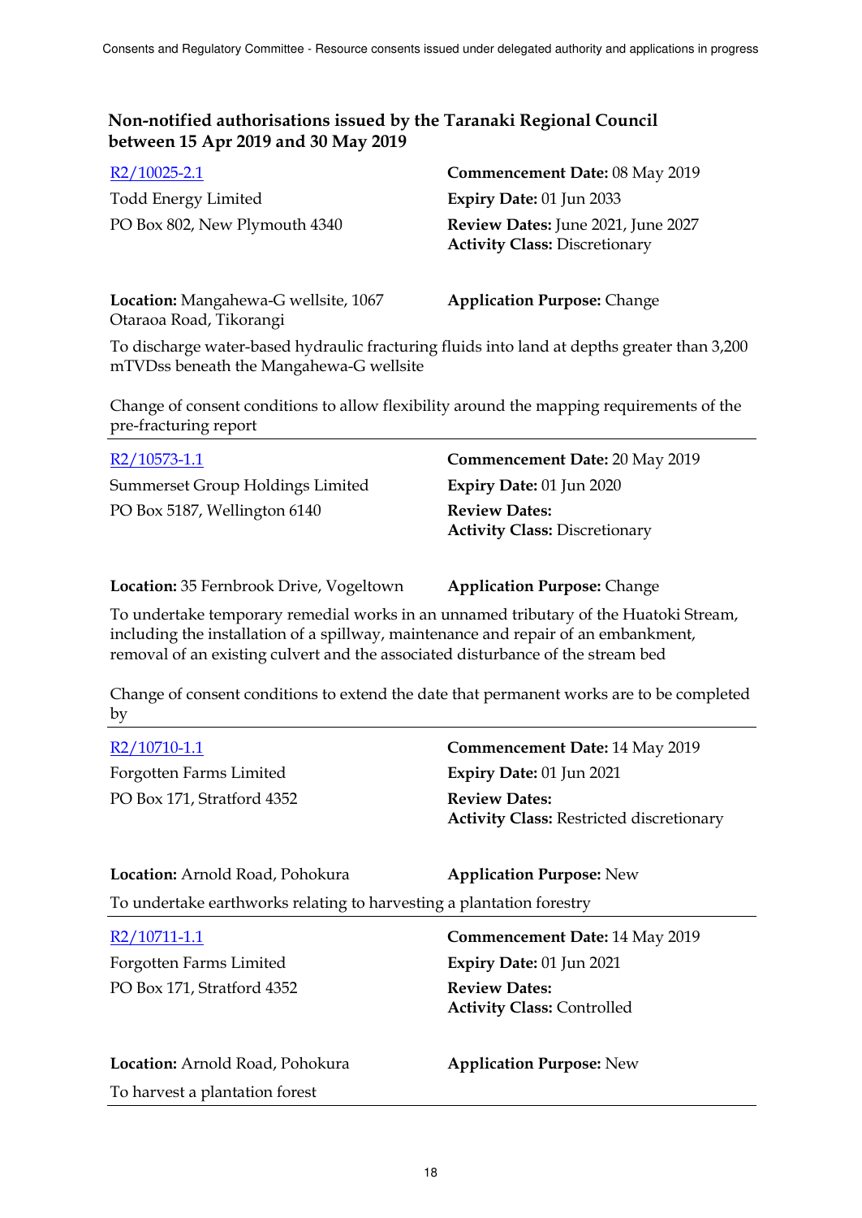| $R2/10025 - 2.1$              | <b>Commencement Date: 08 May 2019</b>                                             |
|-------------------------------|-----------------------------------------------------------------------------------|
| Todd Energy Limited           | Expiry Date: $01$ Jun 2033                                                        |
| PO Box 802, New Plymouth 4340 | <b>Review Dates:</b> June 2021, June 2027<br><b>Activity Class: Discretionary</b> |

**Location:** Mangahewa-G wellsite, 1067 Otaraoa Road, Tikorangi

**Application Purpose:** Change

To discharge water-based hydraulic fracturing fluids into land at depths greater than 3,200 mTVDss beneath the Mangahewa-G wellsite

Change of consent conditions to allow flexibility around the mapping requirements of the pre-fracturing report

| R2/10573-1.1                     | Commencement Date: 20 May 2019       |
|----------------------------------|--------------------------------------|
| Summerset Group Holdings Limited | Expiry Date: $01$ Jun 2020           |
| PO Box 5187, Wellington 6140     | <b>Review Dates:</b>                 |
|                                  | <b>Activity Class: Discretionary</b> |

**Location:** 35 Fernbrook Drive, Vogeltown **Application Purpose:** Change

To undertake temporary remedial works in an unnamed tributary of the Huatoki Stream, including the installation of a spillway, maintenance and repair of an embankment, removal of an existing culvert and the associated disturbance of the stream bed

Change of consent conditions to extend the date that permanent works are to be completed by

| R2/10710-1.1                                                         | <b>Commencement Date: 14 May 2019</b>                                   |
|----------------------------------------------------------------------|-------------------------------------------------------------------------|
| Forgotten Farms Limited                                              | Expiry Date: 01 Jun 2021                                                |
| PO Box 171, Stratford 4352                                           | <b>Review Dates:</b><br><b>Activity Class: Restricted discretionary</b> |
| Location: Arnold Road, Pohokura                                      | <b>Application Purpose: New</b>                                         |
| To undertake earthworks relating to harvesting a plantation forestry |                                                                         |
| R2/10711-1.1                                                         | <b>Commencement Date: 14 May 2019</b>                                   |
| Forgotten Farms Limited                                              | Expiry Date: 01 Jun 2021                                                |
| PO Box 171, Stratford 4352                                           | <b>Review Dates:</b><br><b>Activity Class: Controlled</b>               |
| Location: Arnold Road, Pohokura                                      | <b>Application Purpose: New</b>                                         |
| To harvest a plantation forest                                       |                                                                         |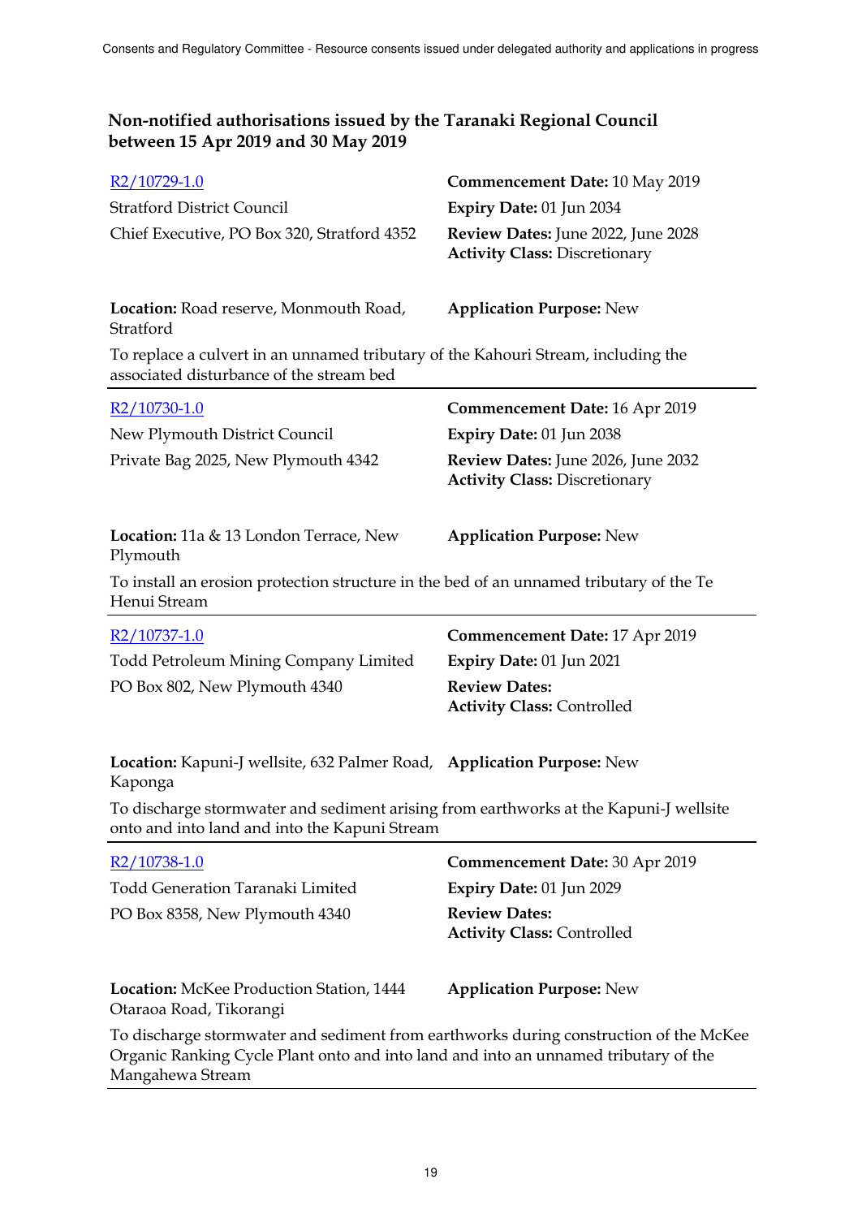| R <sub>2</sub> /10729-1.0                                                                                                                                                                        | <b>Commencement Date: 10 May 2019</b>                                      |  |
|--------------------------------------------------------------------------------------------------------------------------------------------------------------------------------------------------|----------------------------------------------------------------------------|--|
| <b>Stratford District Council</b>                                                                                                                                                                | Expiry Date: 01 Jun 2034                                                   |  |
| Chief Executive, PO Box 320, Stratford 4352                                                                                                                                                      | Review Dates: June 2022, June 2028<br><b>Activity Class: Discretionary</b> |  |
| Location: Road reserve, Monmouth Road,<br>Stratford                                                                                                                                              | <b>Application Purpose: New</b>                                            |  |
| To replace a culvert in an unnamed tributary of the Kahouri Stream, including the<br>associated disturbance of the stream bed                                                                    |                                                                            |  |
| R <sub>2</sub> /10730-1.0                                                                                                                                                                        | <b>Commencement Date: 16 Apr 2019</b>                                      |  |
| New Plymouth District Council                                                                                                                                                                    | Expiry Date: 01 Jun 2038                                                   |  |
| Private Bag 2025, New Plymouth 4342                                                                                                                                                              | Review Dates: June 2026, June 2032<br><b>Activity Class: Discretionary</b> |  |
| Location: 11a & 13 London Terrace, New<br>Plymouth                                                                                                                                               | <b>Application Purpose: New</b>                                            |  |
| To install an erosion protection structure in the bed of an unnamed tributary of the Te<br>Henui Stream                                                                                          |                                                                            |  |
| R <sub>2</sub> /10737-1.0                                                                                                                                                                        | <b>Commencement Date: 17 Apr 2019</b>                                      |  |
| <b>Todd Petroleum Mining Company Limited</b>                                                                                                                                                     | Expiry Date: 01 Jun 2021                                                   |  |
| PO Box 802, New Plymouth 4340                                                                                                                                                                    | <b>Review Dates:</b><br><b>Activity Class: Controlled</b>                  |  |
| Location: Kapuni-J wellsite, 632 Palmer Road, Application Purpose: New<br>Kaponga                                                                                                                |                                                                            |  |
| To discharge stormwater and sediment arising from earthworks at the Kapuni-J wellsite<br>onto and into land and into the Kapuni Stream                                                           |                                                                            |  |
| R2/10738-1.0                                                                                                                                                                                     | Commencement Date: 30 Apr 2019                                             |  |
| <b>Todd Generation Taranaki Limited</b>                                                                                                                                                          | Expiry Date: 01 Jun 2029                                                   |  |
| PO Box 8358, New Plymouth 4340                                                                                                                                                                   | <b>Review Dates:</b><br><b>Activity Class: Controlled</b>                  |  |
| <b>Location:</b> McKee Production Station, 1444<br>Otaraoa Road, Tikorangi                                                                                                                       | <b>Application Purpose: New</b>                                            |  |
| To discharge stormwater and sediment from earthworks during construction of the McKee<br>Organic Ranking Cycle Plant onto and into land and into an unnamed tributary of the<br>Mangahewa Stream |                                                                            |  |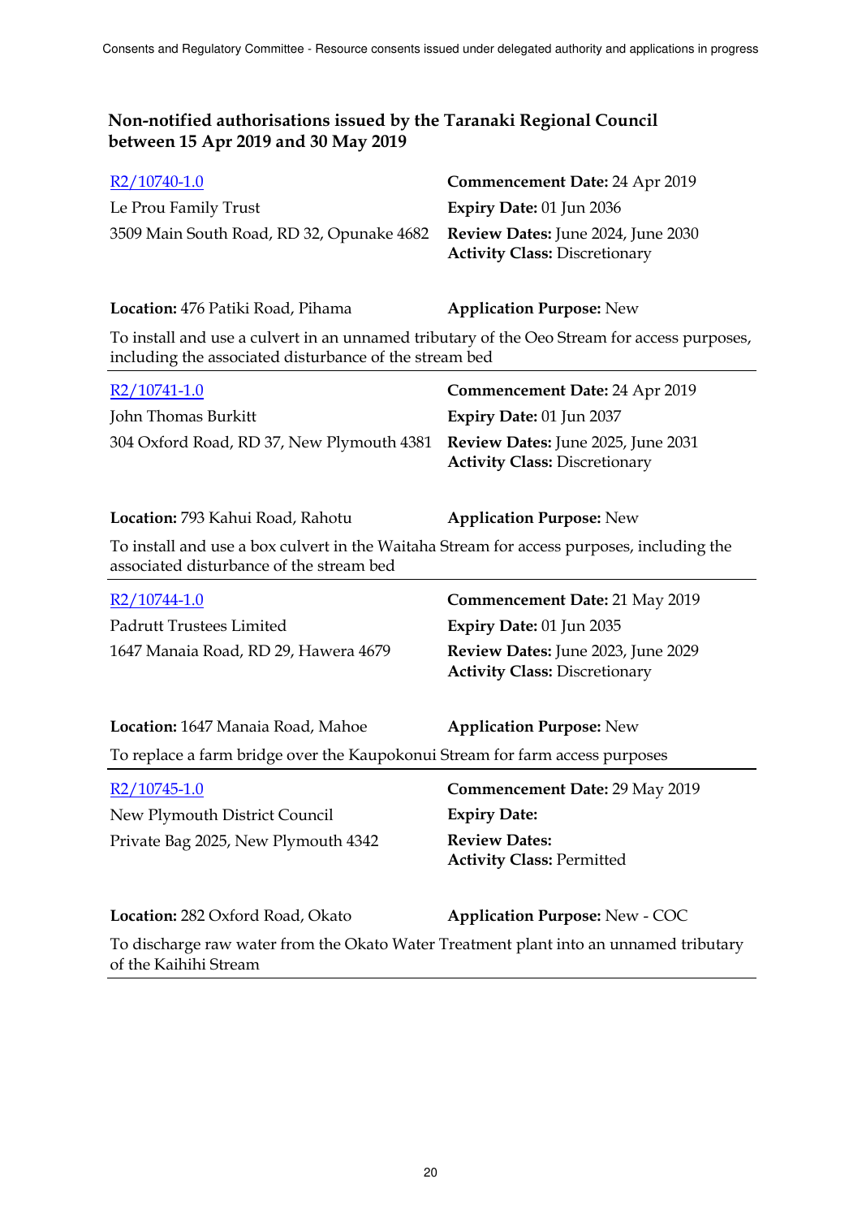| $R2/10740-1.0$                                                               | <b>Commencement Date: 24 Apr 2019</b> |
|------------------------------------------------------------------------------|---------------------------------------|
| Le Prou Family Trust                                                         | Expiry Date: $01$ Jun 2036            |
| 3509 Main South Road, RD 32, Opunake 4682 Review Dates: June 2024, June 2030 |                                       |
|                                                                              | <b>Activity Class: Discretionary</b>  |

**Location:** 476 Patiki Road, Pihama **Application Purpose:** New

To install and use a culvert in an unnamed tributary of the Oeo Stream for access purposes, including the associated disturbance of the stream bed

| $R2/10741-1.0$                                                               | <b>Commencement Date: 24 Apr 2019</b> |
|------------------------------------------------------------------------------|---------------------------------------|
| John Thomas Burkitt                                                          | <b>Expiry Date: 01 Jun 2037</b>       |
| 304 Oxford Road, RD 37, New Plymouth 4381 Review Dates: June 2025, June 2031 | <b>Activity Class: Discretionary</b>  |

**Location:** 793 Kahui Road, Rahotu **Application Purpose:** New

To install and use a box culvert in the Waitaha Stream for access purposes, including the associated disturbance of the stream bed

| $R2/10744-1.0$                       | <b>Commencement Date: 21 May 2019</b>                                             |
|--------------------------------------|-----------------------------------------------------------------------------------|
| Padrutt Trustees Limited             | Expiry Date: $01$ Jun 2035                                                        |
| 1647 Manaia Road, RD 29, Hawera 4679 | <b>Review Dates:</b> June 2023, June 2029<br><b>Activity Class: Discretionary</b> |

**Location:** 1647 Manaia Road, Mahoe **Application Purpose:** New To replace a farm bridge over the Kaupokonui Stream for farm access purposes

| $R2/10745-1.0$                      | Commencement Date: 29 May 2019                                                        |
|-------------------------------------|---------------------------------------------------------------------------------------|
| New Plymouth District Council       | <b>Expiry Date:</b>                                                                   |
| Private Bag 2025, New Plymouth 4342 | <b>Review Dates:</b><br><b>Activity Class: Permitted</b>                              |
| Location: 282 Oxford Road, Okato    | <b>Application Purpose: New - COC</b>                                                 |
| of the Kaihihi Stream               | To discharge raw water from the Okato Water Treatment plant into an unnamed tributary |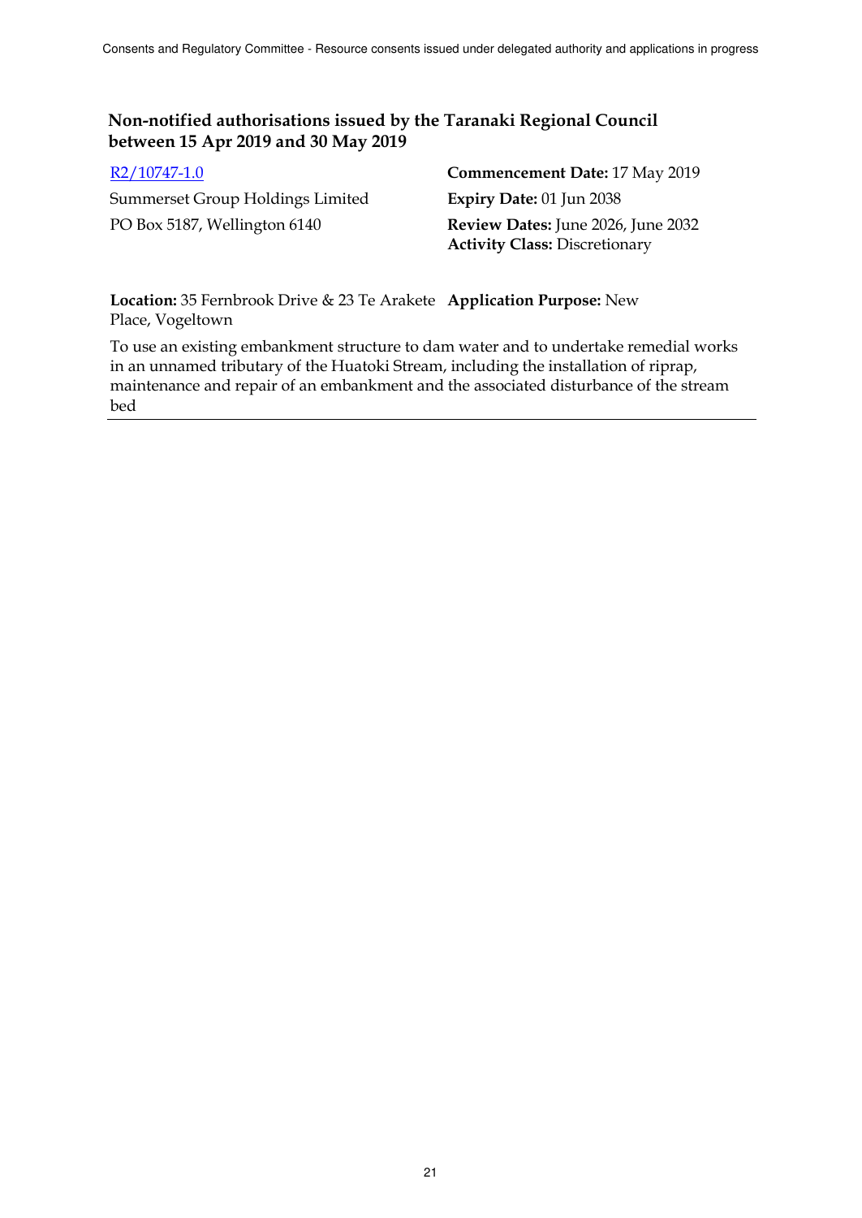| $R2/10747-1.0$                   | <b>Commencement Date: 17 May 2019</b>     |
|----------------------------------|-------------------------------------------|
| Summerset Group Holdings Limited | Expiry Date: $01$ Jun 2038                |
| PO Box 5187, Wellington 6140     | <b>Review Dates:</b> June 2026, June 2032 |
|                                  | <b>Activity Class: Discretionary</b>      |

**Location:** 35 Fernbrook Drive & 23 Te Arakete **Application Purpose:** New Place, Vogeltown

To use an existing embankment structure to dam water and to undertake remedial works in an unnamed tributary of the Huatoki Stream, including the installation of riprap, maintenance and repair of an embankment and the associated disturbance of the stream bed